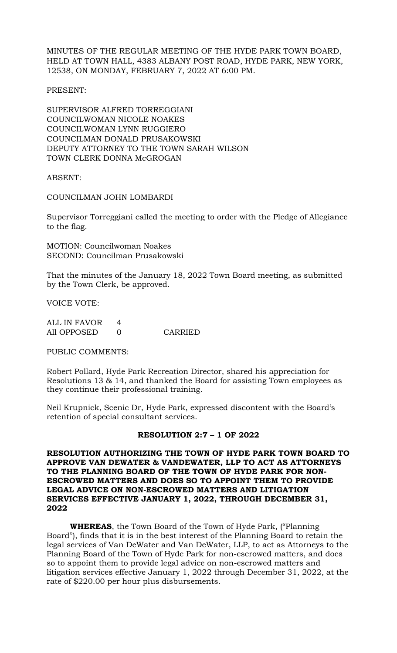MINUTES OF THE REGULAR MEETING OF THE HYDE PARK TOWN BOARD, HELD AT TOWN HALL, 4383 ALBANY POST ROAD, HYDE PARK, NEW YORK, 12538, ON MONDAY, FEBRUARY 7, 2022 AT 6:00 PM.

PRESENT:

SUPERVISOR ALFRED TORREGGIANI COUNCILWOMAN NICOLE NOAKES COUNCILWOMAN LYNN RUGGIERO COUNCILMAN DONALD PRUSAKOWSKI DEPUTY ATTORNEY TO THE TOWN SARAH WILSON TOWN CLERK DONNA McGROGAN

ABSENT:

COUNCILMAN JOHN LOMBARDI

Supervisor Torreggiani called the meeting to order with the Pledge of Allegiance to the flag.

MOTION: Councilwoman Noakes SECOND: Councilman Prusakowski

That the minutes of the January 18, 2022 Town Board meeting, as submitted by the Town Clerk, be approved.

VOICE VOTE:

ALL IN FAVOR 4 All OPPOSED 0 CARRIED

PUBLIC COMMENTS:

Robert Pollard, Hyde Park Recreation Director, shared his appreciation for Resolutions 13 & 14, and thanked the Board for assisting Town employees as they continue their professional training.

Neil Krupnick, Scenic Dr, Hyde Park, expressed discontent with the Board's retention of special consultant services.

#### **RESOLUTION 2:7 – 1 OF 2022**

**RESOLUTION AUTHORIZING THE TOWN OF HYDE PARK TOWN BOARD TO APPROVE VAN DEWATER & VANDEWATER, LLP TO ACT AS ATTORNEYS TO THE PLANNING BOARD OF THE TOWN OF HYDE PARK FOR NON-ESCROWED MATTERS AND DOES SO TO APPOINT THEM TO PROVIDE LEGAL ADVICE ON NON-ESCROWED MATTERS AND LITIGATION SERVICES EFFECTIVE JANUARY 1, 2022, THROUGH DECEMBER 31, 2022**

**WHEREAS**, the Town Board of the Town of Hyde Park, ("Planning Board"), finds that it is in the best interest of the Planning Board to retain the legal services of Van DeWater and Van DeWater, LLP, to act as Attorneys to the Planning Board of the Town of Hyde Park for non-escrowed matters, and does so to appoint them to provide legal advice on non-escrowed matters and litigation services effective January 1, 2022 through December 31, 2022, at the rate of \$220.00 per hour plus disbursements.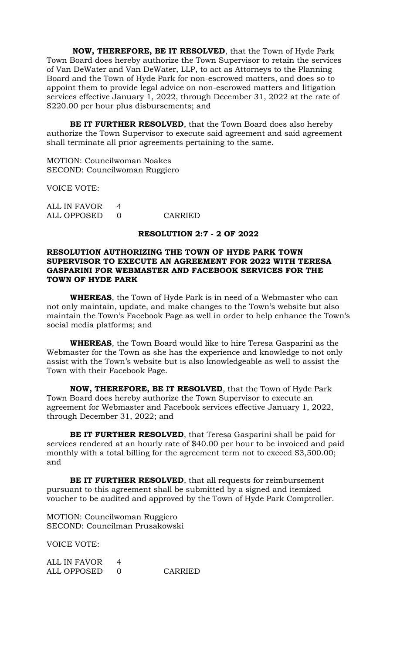**NOW, THEREFORE, BE IT RESOLVED**, that the Town of Hyde Park Town Board does hereby authorize the Town Supervisor to retain the services of Van DeWater and Van DeWater, LLP, to act as Attorneys to the Planning Board and the Town of Hyde Park for non-escrowed matters, and does so to appoint them to provide legal advice on non-escrowed matters and litigation services effective January 1, 2022, through December 31, 2022 at the rate of \$220.00 per hour plus disbursements; and

**BE IT FURTHER RESOLVED**, that the Town Board does also hereby authorize the Town Supervisor to execute said agreement and said agreement shall terminate all prior agreements pertaining to the same.

MOTION: Councilwoman Noakes SECOND: Councilwoman Ruggiero

VOICE VOTE:

| ALL IN FAVOR |         |
|--------------|---------|
| ALL OPPOSED  | CARRIED |

## **RESOLUTION 2:7 - 2 OF 2022**

# **RESOLUTION AUTHORIZING THE TOWN OF HYDE PARK TOWN SUPERVISOR TO EXECUTE AN AGREEMENT FOR 2022 WITH TERESA GASPARINI FOR WEBMASTER AND FACEBOOK SERVICES FOR THE TOWN OF HYDE PARK**

**WHEREAS**, the Town of Hyde Park is in need of a Webmaster who can not only maintain, update, and make changes to the Town's website but also maintain the Town's Facebook Page as well in order to help enhance the Town's social media platforms; and

**WHEREAS**, the Town Board would like to hire Teresa Gasparini as the Webmaster for the Town as she has the experience and knowledge to not only assist with the Town's website but is also knowledgeable as well to assist the Town with their Facebook Page.

**NOW, THEREFORE, BE IT RESOLVED**, that the Town of Hyde Park Town Board does hereby authorize the Town Supervisor to execute an agreement for Webmaster and Facebook services effective January 1, 2022, through December 31, 2022; and

**BE IT FURTHER RESOLVED**, that Teresa Gasparini shall be paid for services rendered at an hourly rate of \$40.00 per hour to be invoiced and paid monthly with a total billing for the agreement term not to exceed \$3,500.00; and

**BE IT FURTHER RESOLVED**, that all requests for reimbursement pursuant to this agreement shall be submitted by a signed and itemized voucher to be audited and approved by the Town of Hyde Park Comptroller.

MOTION: Councilwoman Ruggiero SECOND: Councilman Prusakowski

VOICE VOTE:

ALL IN FAVOR 4 ALL OPPOSED 0 CARRIED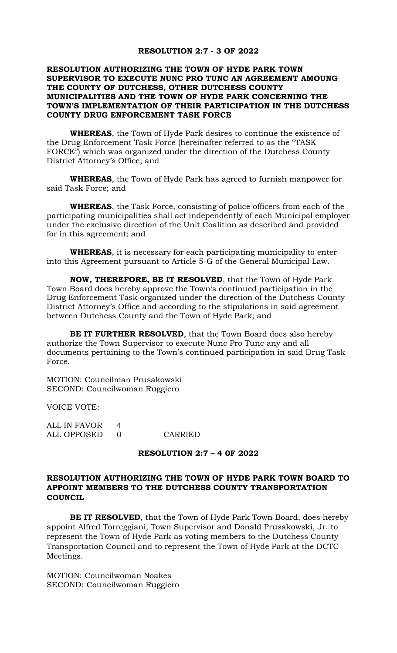#### **RESOLUTION 2:7 - 3 OF 2022**

# **RESOLUTION AUTHORIZING THE TOWN OF HYDE PARK TOWN SUPERVISOR TO EXECUTE NUNC PRO TUNC AN AGREEMENT AMOUNG THE COUNTY OF DUTCHESS, OTHER DUTCHESS COUNTY MUNICIPALITIES AND THE TOWN OF HYDE PARK CONCERNING THE TOWN'S IMPLEMENTATION OF THEIR PARTICIPATION IN THE DUTCHESS COUNTY DRUG ENFORCEMENT TASK FORCE**

**WHEREAS**, the Town of Hyde Park desires to continue the existence of the Drug Enforcement Task Force (hereinafter referred to as the "TASK FORCE") which was organized under the direction of the Dutchess County District Attorney's Office; and

**WHEREAS**, the Town of Hyde Park has agreed to furnish manpower for said Task Force; and

**WHEREAS**, the Task Force, consisting of police officers from each of the participating municipalities shall act independently of each Municipal employer under the exclusive direction of the Unit Coalition as described and provided for in this agreement; and

**WHEREAS**, it is necessary for each participating municipality to enter into this Agreement pursuant to Article 5-G of the General Municipal Law.

**NOW, THEREFORE, BE IT RESOLVED**, that the Town of Hyde Park Town Board does hereby approve the Town's continued participation in the Drug Enforcement Task organized under the direction of the Dutchess County District Attorney's Office and according to the stipulations in said agreement between Dutchess County and the Town of Hyde Park; and

**BE IT FURTHER RESOLVED**, that the Town Board does also hereby authorize the Town Supervisor to execute Nunc Pro Tunc any and all documents pertaining to the Town's continued participation in said Drug Task Force.

MOTION: Councilman Prusakowski SECOND: Councilwoman Ruggiero

VOICE VOTE:

| ALL IN FAVOR |         |
|--------------|---------|
| ALL OPPOSED  | CARRIED |

**RESOLUTION 2:7 – 4 0F 2022**

# **RESOLUTION AUTHORIZING THE TOWN OF HYDE PARK TOWN BOARD TO APPOINT MEMBERS TO THE DUTCHESS COUNTY TRANSPORTATION COUNCIL**

**BE IT RESOLVED**, that the Town of Hyde Park Town Board, does hereby appoint Alfred Torreggiani, Town Supervisor and Donald Prusakowski, Jr. to represent the Town of Hyde Park as voting members to the Dutchess County Transportation Council and to represent the Town of Hyde Park at the DCTC Meetings.

MOTION: Councilwoman Noakes SECOND: Councilwoman Ruggiero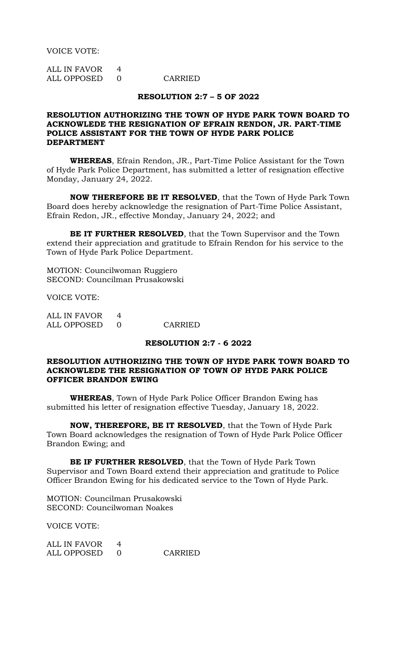VOICE VOTE:

| ALL IN FAVOR |         |
|--------------|---------|
| ALL OPPOSED  | CARRIED |

### **RESOLUTION 2:7 – 5 OF 2022**

# **RESOLUTION AUTHORIZING THE TOWN OF HYDE PARK TOWN BOARD TO ACKNOWLEDE THE RESIGNATION OF EFRAIN RENDON, JR. PART-TIME POLICE ASSISTANT FOR THE TOWN OF HYDE PARK POLICE DEPARTMENT**

**WHEREAS**, Efrain Rendon, JR., Part-Time Police Assistant for the Town of Hyde Park Police Department, has submitted a letter of resignation effective Monday, January 24, 2022.

**NOW THEREFORE BE IT RESOLVED**, that the Town of Hyde Park Town Board does hereby acknowledge the resignation of Part-Time Police Assistant, Efrain Redon, JR., effective Monday, January 24, 2022; and

**BE IT FURTHER RESOLVED**, that the Town Supervisor and the Town extend their appreciation and gratitude to Efrain Rendon for his service to the Town of Hyde Park Police Department.

MOTION: Councilwoman Ruggiero SECOND: Councilman Prusakowski

VOICE VOTE:

| ALL IN FAVOR |         |
|--------------|---------|
| ALL OPPOSED  | CARRIED |

#### **RESOLUTION 2:7 - 6 2022**

# **RESOLUTION AUTHORIZING THE TOWN OF HYDE PARK TOWN BOARD TO ACKNOWLEDE THE RESIGNATION OF TOWN OF HYDE PARK POLICE OFFICER BRANDON EWING**

**WHEREAS**, Town of Hyde Park Police Officer Brandon Ewing has submitted his letter of resignation effective Tuesday, January 18, 2022.

**NOW, THEREFORE, BE IT RESOLVED**, that the Town of Hyde Park Town Board acknowledges the resignation of Town of Hyde Park Police Officer Brandon Ewing; and

**BE IF FURTHER RESOLVED**, that the Town of Hyde Park Town Supervisor and Town Board extend their appreciation and gratitude to Police Officer Brandon Ewing for his dedicated service to the Town of Hyde Park.

MOTION: Councilman Prusakowski SECOND: Councilwoman Noakes

VOICE VOTE:

| ALL IN FAVOR |         |
|--------------|---------|
| ALL OPPOSED  | CARRIED |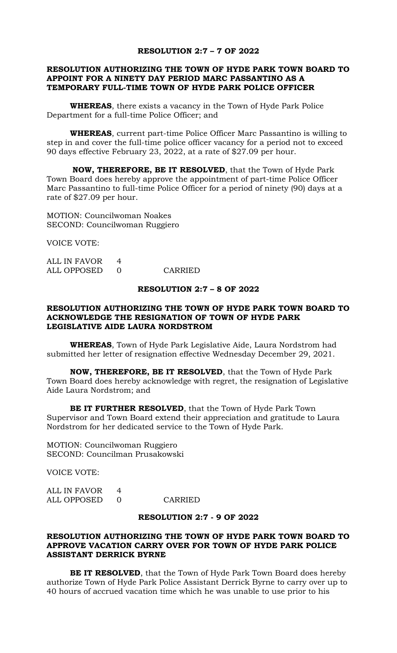#### **RESOLUTION 2:7 – 7 OF 2022**

## **RESOLUTION AUTHORIZING THE TOWN OF HYDE PARK TOWN BOARD TO APPOINT FOR A NINETY DAY PERIOD MARC PASSANTINO AS A TEMPORARY FULL-TIME TOWN OF HYDE PARK POLICE OFFICER**

**WHEREAS**, there exists a vacancy in the Town of Hyde Park Police Department for a full-time Police Officer; and

**WHEREAS**, current part-time Police Officer Marc Passantino is willing to step in and cover the full-time police officer vacancy for a period not to exceed 90 days effective February 23, 2022, at a rate of \$27.09 per hour.

**NOW, THEREFORE, BE IT RESOLVED**, that the Town of Hyde Park Town Board does hereby approve the appointment of part-time Police Officer Marc Passantino to full-time Police Officer for a period of ninety (90) days at a rate of \$27.09 per hour.

MOTION: Councilwoman Noakes SECOND: Councilwoman Ruggiero

VOICE VOTE:

ALL IN FAVOR 4 ALL OPPOSED 0 CARRIED

#### **RESOLUTION 2:7 – 8 OF 2022**

## **RESOLUTION AUTHORIZING THE TOWN OF HYDE PARK TOWN BOARD TO ACKNOWLEDGE THE RESIGNATION OF TOWN OF HYDE PARK LEGISLATIVE AIDE LAURA NORDSTROM**

**WHEREAS**, Town of Hyde Park Legislative Aide, Laura Nordstrom had submitted her letter of resignation effective Wednesday December 29, 2021.

**NOW, THEREFORE, BE IT RESOLVED**, that the Town of Hyde Park Town Board does hereby acknowledge with regret, the resignation of Legislative Aide Laura Nordstrom; and

**BE IT FURTHER RESOLVED**, that the Town of Hyde Park Town Supervisor and Town Board extend their appreciation and gratitude to Laura Nordstrom for her dedicated service to the Town of Hyde Park.

MOTION: Councilwoman Ruggiero SECOND: Councilman Prusakowski

VOICE VOTE:

ALL IN FAVOR 4 ALL OPPOSED 0 CARRIED

# **RESOLUTION 2:7 - 9 OF 2022**

# **RESOLUTION AUTHORIZING THE TOWN OF HYDE PARK TOWN BOARD TO APPROVE VACATION CARRY OVER FOR TOWN OF HYDE PARK POLICE ASSISTANT DERRICK BYRNE**

**BE IT RESOLVED**, that the Town of Hyde Park Town Board does hereby authorize Town of Hyde Park Police Assistant Derrick Byrne to carry over up to 40 hours of accrued vacation time which he was unable to use prior to his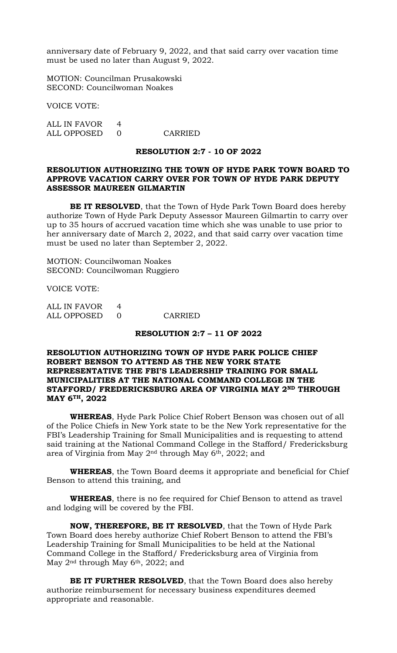anniversary date of February 9, 2022, and that said carry over vacation time must be used no later than August 9, 2022.

MOTION: Councilman Prusakowski SECOND: Councilwoman Noakes

VOICE VOTE:

ALL IN FAVOR 4 ALL OPPOSED 0 CARRIED

## **RESOLUTION 2:7 - 10 OF 2022**

# **RESOLUTION AUTHORIZING THE TOWN OF HYDE PARK TOWN BOARD TO APPROVE VACATION CARRY OVER FOR TOWN OF HYDE PARK DEPUTY ASSESSOR MAUREEN GILMARTIN**

**BE IT RESOLVED**, that the Town of Hyde Park Town Board does hereby authorize Town of Hyde Park Deputy Assessor Maureen Gilmartin to carry over up to 35 hours of accrued vacation time which she was unable to use prior to her anniversary date of March 2, 2022, and that said carry over vacation time must be used no later than September 2, 2022.

MOTION: Councilwoman Noakes SECOND: Councilwoman Ruggiero

VOICE VOTE:

| ALL IN FAVOR |         |
|--------------|---------|
| ALL OPPOSED  | CARRIED |

## **RESOLUTION 2:7 – 11 OF 2022**

# **RESOLUTION AUTHORIZING TOWN OF HYDE PARK POLICE CHIEF ROBERT BENSON TO ATTEND AS THE NEW YORK STATE REPRESENTATIVE THE FBI'S LEADERSHIP TRAINING FOR SMALL MUNICIPALITIES AT THE NATIONAL COMMAND COLLEGE IN THE STAFFORD/ FREDERICKSBURG AREA OF VIRGINIA MAY 2ND THROUGH MAY 6TH, 2022**

**WHEREAS**, Hyde Park Police Chief Robert Benson was chosen out of all of the Police Chiefs in New York state to be the New York representative for the FBI's Leadership Training for Small Municipalities and is requesting to attend said training at the National Command College in the Stafford/ Fredericksburg area of Virginia from May 2nd through May 6th, 2022; and

**WHEREAS**, the Town Board deems it appropriate and beneficial for Chief Benson to attend this training, and

**WHEREAS**, there is no fee required for Chief Benson to attend as travel and lodging will be covered by the FBI.

**NOW, THEREFORE, BE IT RESOLVED**, that the Town of Hyde Park Town Board does hereby authorize Chief Robert Benson to attend the FBI's Leadership Training for Small Municipalities to be held at the National Command College in the Stafford/ Fredericksburg area of Virginia from May 2<sup>nd</sup> through May 6<sup>th</sup>, 2022; and

**BE IT FURTHER RESOLVED**, that the Town Board does also hereby authorize reimbursement for necessary business expenditures deemed appropriate and reasonable.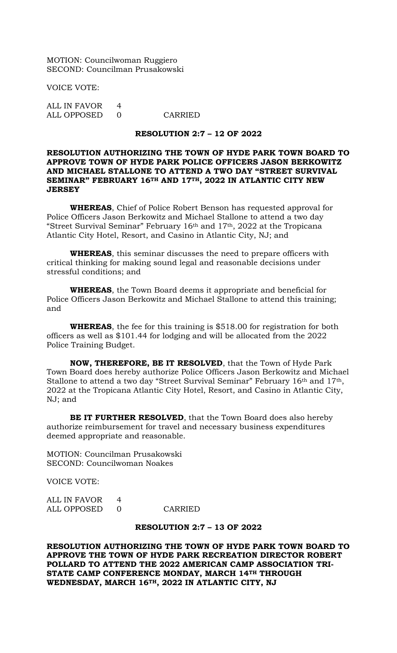MOTION: Councilwoman Ruggiero SECOND: Councilman Prusakowski

VOICE VOTE:

ALL IN FAVOR 4 ALL OPPOSED 0 CARRIED

# **RESOLUTION 2:7 – 12 OF 2022**

# **RESOLUTION AUTHORIZING THE TOWN OF HYDE PARK TOWN BOARD TO APPROVE TOWN OF HYDE PARK POLICE OFFICERS JASON BERKOWITZ AND MICHAEL STALLONE TO ATTEND A TWO DAY "STREET SURVIVAL SEMINAR" FEBRUARY 16TH AND 17TH, 2022 IN ATLANTIC CITY NEW JERSEY**

**WHEREAS**, Chief of Police Robert Benson has requested approval for Police Officers Jason Berkowitz and Michael Stallone to attend a two day "Street Survival Seminar" February 16th and 17th, 2022 at the Tropicana Atlantic City Hotel, Resort, and Casino in Atlantic City, NJ; and

**WHEREAS**, this seminar discusses the need to prepare officers with critical thinking for making sound legal and reasonable decisions under stressful conditions; and

**WHEREAS**, the Town Board deems it appropriate and beneficial for Police Officers Jason Berkowitz and Michael Stallone to attend this training; and

**WHEREAS**, the fee for this training is \$518.00 for registration for both officers as well as \$101.44 for lodging and will be allocated from the 2022 Police Training Budget.

**NOW, THEREFORE, BE IT RESOLVED**, that the Town of Hyde Park Town Board does hereby authorize Police Officers Jason Berkowitz and Michael Stallone to attend a two day "Street Survival Seminar" February 16<sup>th</sup> and 17<sup>th</sup>, 2022 at the Tropicana Atlantic City Hotel, Resort, and Casino in Atlantic City, NJ; and

**BE IT FURTHER RESOLVED**, that the Town Board does also hereby authorize reimbursement for travel and necessary business expenditures deemed appropriate and reasonable.

MOTION: Councilman Prusakowski SECOND: Councilwoman Noakes

VOICE VOTE:

| ALL IN FAVOR |         |
|--------------|---------|
| ALL OPPOSED  | CARRIED |

#### **RESOLUTION 2:7 – 13 OF 2022**

**RESOLUTION AUTHORIZING THE TOWN OF HYDE PARK TOWN BOARD TO APPROVE THE TOWN OF HYDE PARK RECREATION DIRECTOR ROBERT POLLARD TO ATTEND THE 2022 AMERICAN CAMP ASSOCIATION TRI-STATE CAMP CONFERENCE MONDAY, MARCH 14TH THROUGH WEDNESDAY, MARCH 16TH, 2022 IN ATLANTIC CITY, NJ**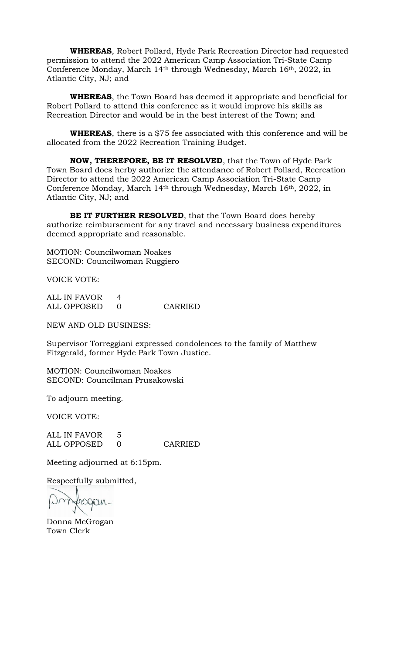**WHEREAS**, Robert Pollard, Hyde Park Recreation Director had requested permission to attend the 2022 American Camp Association Tri-State Camp Conference Monday, March 14<sup>th</sup> through Wednesday, March 16<sup>th</sup>, 2022, in Atlantic City, NJ; and

**WHEREAS**, the Town Board has deemed it appropriate and beneficial for Robert Pollard to attend this conference as it would improve his skills as Recreation Director and would be in the best interest of the Town; and

**WHEREAS**, there is a \$75 fee associated with this conference and will be allocated from the 2022 Recreation Training Budget.

**NOW, THEREFORE, BE IT RESOLVED**, that the Town of Hyde Park Town Board does herby authorize the attendance of Robert Pollard, Recreation Director to attend the 2022 American Camp Association Tri-State Camp Conference Monday, March 14th through Wednesday, March 16th, 2022, in Atlantic City, NJ; and

**BE IT FURTHER RESOLVED**, that the Town Board does hereby authorize reimbursement for any travel and necessary business expenditures deemed appropriate and reasonable.

MOTION: Councilwoman Noakes SECOND: Councilwoman Ruggiero

VOICE VOTE:

ALL IN FAVOR 4 ALL OPPOSED 0 CARRIED

NEW AND OLD BUSINESS:

Supervisor Torreggiani expressed condolences to the family of Matthew Fitzgerald, former Hyde Park Town Justice.

MOTION: Councilwoman Noakes SECOND: Councilman Prusakowski

To adjourn meeting.

VOICE VOTE:

ALL IN FAVOR 5 ALL OPPOSED 0 CARRIED

Meeting adjourned at 6:15pm.

Respectfully submitted,

nogan -

Donna McGrogan Town Clerk